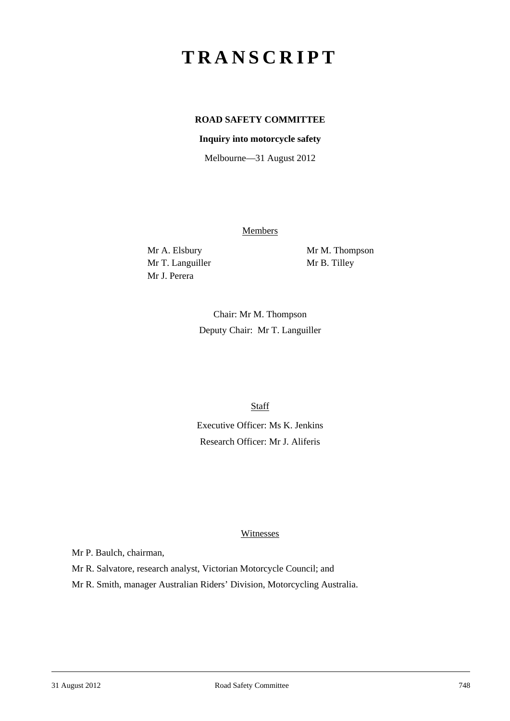# **TRANSCRIPT**

# **ROAD SAFETY COMMITTEE**

#### **Inquiry into motorcycle safety**

Melbourne—31 August 2012

Members

Mr T. Languiller Mr B. Tilley Mr J. Perera

Mr A. Elsbury Mr M. Thompson

Chair: Mr M. Thompson Deputy Chair: Mr T. Languiller

**Staff** 

Executive Officer: Ms K. Jenkins Research Officer: Mr J. Aliferis

#### **Witnesses**

Mr P. Baulch, chairman,

Mr R. Salvatore, research analyst, Victorian Motorcycle Council; and

Mr R. Smith, manager Australian Riders' Division, Motorcycling Australia.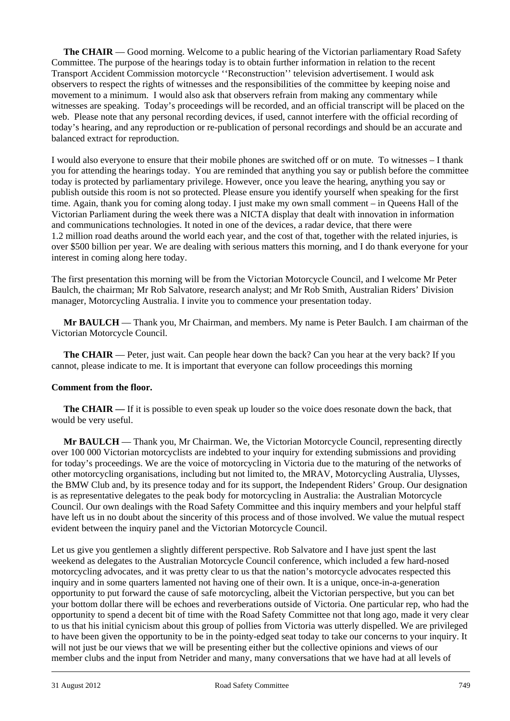**The CHAIR** — Good morning. Welcome to a public hearing of the Victorian parliamentary Road Safety Committee. The purpose of the hearings today is to obtain further information in relation to the recent Transport Accident Commission motorcycle ''Reconstruction'' television advertisement. I would ask observers to respect the rights of witnesses and the responsibilities of the committee by keeping noise and movement to a minimum. I would also ask that observers refrain from making any commentary while witnesses are speaking. Today's proceedings will be recorded, and an official transcript will be placed on the web. Please note that any personal recording devices, if used, cannot interfere with the official recording of today's hearing, and any reproduction or re-publication of personal recordings and should be an accurate and balanced extract for reproduction.

I would also everyone to ensure that their mobile phones are switched off or on mute. To witnesses – I thank you for attending the hearings today. You are reminded that anything you say or publish before the committee today is protected by parliamentary privilege. However, once you leave the hearing, anything you say or publish outside this room is not so protected. Please ensure you identify yourself when speaking for the first time. Again, thank you for coming along today. I just make my own small comment – in Queens Hall of the Victorian Parliament during the week there was a NICTA display that dealt with innovation in information and communications technologies. It noted in one of the devices, a radar device, that there were 1.2 million road deaths around the world each year, and the cost of that, together with the related injuries, is over \$500 billion per year. We are dealing with serious matters this morning, and I do thank everyone for your interest in coming along here today.

The first presentation this morning will be from the Victorian Motorcycle Council, and I welcome Mr Peter Baulch, the chairman; Mr Rob Salvatore, research analyst; and Mr Rob Smith, Australian Riders' Division manager, Motorcycling Australia. I invite you to commence your presentation today.

**Mr BAULCH** — Thank you, Mr Chairman, and members. My name is Peter Baulch. I am chairman of the Victorian Motorcycle Council.

**The CHAIR** — Peter, just wait. Can people hear down the back? Can you hear at the very back? If you cannot, please indicate to me. It is important that everyone can follow proceedings this morning

#### **Comment from the floor.**

**The CHAIR —** If it is possible to even speak up louder so the voice does resonate down the back, that would be very useful.

**Mr BAULCH** — Thank you, Mr Chairman. We, the Victorian Motorcycle Council, representing directly over 100 000 Victorian motorcyclists are indebted to your inquiry for extending submissions and providing for today's proceedings. We are the voice of motorcycling in Victoria due to the maturing of the networks of other motorcycling organisations, including but not limited to, the MRAV, Motorcycling Australia, Ulysses, the BMW Club and, by its presence today and for its support, the Independent Riders' Group. Our designation is as representative delegates to the peak body for motorcycling in Australia: the Australian Motorcycle Council. Our own dealings with the Road Safety Committee and this inquiry members and your helpful staff have left us in no doubt about the sincerity of this process and of those involved. We value the mutual respect evident between the inquiry panel and the Victorian Motorcycle Council.

l Let us give you gentlemen a slightly different perspective. Rob Salvatore and I have just spent the last weekend as delegates to the Australian Motorcycle Council conference, which included a few hard-nosed motorcycling advocates, and it was pretty clear to us that the nation's motorcycle advocates respected this inquiry and in some quarters lamented not having one of their own. It is a unique, once-in-a-generation opportunity to put forward the cause of safe motorcycling, albeit the Victorian perspective, but you can bet your bottom dollar there will be echoes and reverberations outside of Victoria. One particular rep, who had the opportunity to spend a decent bit of time with the Road Safety Committee not that long ago, made it very clear to us that his initial cynicism about this group of pollies from Victoria was utterly dispelled. We are privileged to have been given the opportunity to be in the pointy-edged seat today to take our concerns to your inquiry. It will not just be our views that we will be presenting either but the collective opinions and views of our member clubs and the input from Netrider and many, many conversations that we have had at all levels of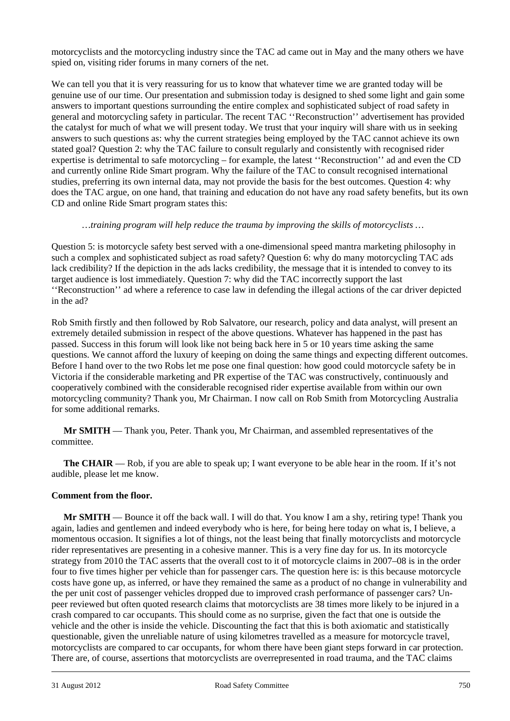motorcyclists and the motorcycling industry since the TAC ad came out in May and the many others we have spied on, visiting rider forums in many corners of the net.

We can tell you that it is very reassuring for us to know that whatever time we are granted today will be genuine use of our time. Our presentation and submission today is designed to shed some light and gain some answers to important questions surrounding the entire complex and sophisticated subject of road safety in general and motorcycling safety in particular. The recent TAC ''Reconstruction'' advertisement has provided the catalyst for much of what we will present today. We trust that your inquiry will share with us in seeking answers to such questions as: why the current strategies being employed by the TAC cannot achieve its own stated goal? Question 2: why the TAC failure to consult regularly and consistently with recognised rider expertise is detrimental to safe motorcycling – for example, the latest ''Reconstruction'' ad and even the CD and currently online Ride Smart program. Why the failure of the TAC to consult recognised international studies, preferring its own internal data, may not provide the basis for the best outcomes. Question 4: why does the TAC argue, on one hand, that training and education do not have any road safety benefits, but its own CD and online Ride Smart program states this:

#### *…training program will help reduce the trauma by improving the skills of motorcyclists …*

Question 5: is motorcycle safety best served with a one-dimensional speed mantra marketing philosophy in such a complex and sophisticated subject as road safety? Question 6: why do many motorcycling TAC ads lack credibility? If the depiction in the ads lacks credibility, the message that it is intended to convey to its target audience is lost immediately. Question 7: why did the TAC incorrectly support the last ''Reconstruction'' ad where a reference to case law in defending the illegal actions of the car driver depicted in the ad?

Rob Smith firstly and then followed by Rob Salvatore, our research, policy and data analyst, will present an extremely detailed submission in respect of the above questions. Whatever has happened in the past has passed. Success in this forum will look like not being back here in 5 or 10 years time asking the same questions. We cannot afford the luxury of keeping on doing the same things and expecting different outcomes. Before I hand over to the two Robs let me pose one final question: how good could motorcycle safety be in Victoria if the considerable marketing and PR expertise of the TAC was constructively, continuously and cooperatively combined with the considerable recognised rider expertise available from within our own motorcycling community? Thank you, Mr Chairman. I now call on Rob Smith from Motorcycling Australia for some additional remarks.

**Mr SMITH** — Thank you, Peter. Thank you, Mr Chairman, and assembled representatives of the committee.

**The CHAIR** — Rob, if you are able to speak up; I want everyone to be able hear in the room. If it's not audible, please let me know.

#### **Comment from the floor.**

l **Mr SMITH** — Bounce it off the back wall. I will do that. You know I am a shy, retiring type! Thank you again, ladies and gentlemen and indeed everybody who is here, for being here today on what is, I believe, a momentous occasion. It signifies a lot of things, not the least being that finally motorcyclists and motorcycle rider representatives are presenting in a cohesive manner. This is a very fine day for us. In its motorcycle strategy from 2010 the TAC asserts that the overall cost to it of motorcycle claims in 2007–08 is in the order four to five times higher per vehicle than for passenger cars. The question here is: is this because motorcycle costs have gone up, as inferred, or have they remained the same as a product of no change in vulnerability and the per unit cost of passenger vehicles dropped due to improved crash performance of passenger cars? Unpeer reviewed but often quoted research claims that motorcyclists are 38 times more likely to be injured in a crash compared to car occupants. This should come as no surprise, given the fact that one is outside the vehicle and the other is inside the vehicle. Discounting the fact that this is both axiomatic and statistically questionable, given the unreliable nature of using kilometres travelled as a measure for motorcycle travel, motorcyclists are compared to car occupants, for whom there have been giant steps forward in car protection. There are, of course, assertions that motorcyclists are overrepresented in road trauma, and the TAC claims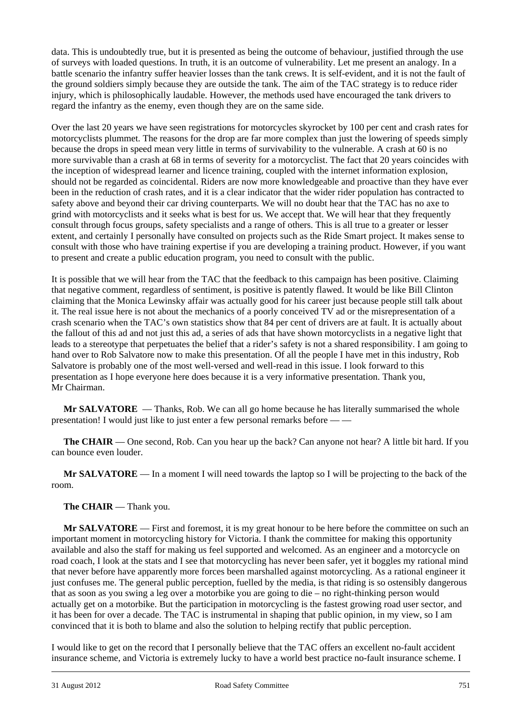data. This is undoubtedly true, but it is presented as being the outcome of behaviour, justified through the use of surveys with loaded questions. In truth, it is an outcome of vulnerability. Let me present an analogy. In a battle scenario the infantry suffer heavier losses than the tank crews. It is self-evident, and it is not the fault of the ground soldiers simply because they are outside the tank. The aim of the TAC strategy is to reduce rider injury, which is philosophically laudable. However, the methods used have encouraged the tank drivers to regard the infantry as the enemy, even though they are on the same side.

Over the last 20 years we have seen registrations for motorcycles skyrocket by 100 per cent and crash rates for motorcyclists plummet. The reasons for the drop are far more complex than just the lowering of speeds simply because the drops in speed mean very little in terms of survivability to the vulnerable. A crash at 60 is no more survivable than a crash at 68 in terms of severity for a motorcyclist. The fact that 20 years coincides with the inception of widespread learner and licence training, coupled with the internet information explosion, should not be regarded as coincidental. Riders are now more knowledgeable and proactive than they have ever been in the reduction of crash rates, and it is a clear indicator that the wider rider population has contracted to safety above and beyond their car driving counterparts. We will no doubt hear that the TAC has no axe to grind with motorcyclists and it seeks what is best for us. We accept that. We will hear that they frequently consult through focus groups, safety specialists and a range of others. This is all true to a greater or lesser extent, and certainly I personally have consulted on projects such as the Ride Smart project. It makes sense to consult with those who have training expertise if you are developing a training product. However, if you want to present and create a public education program, you need to consult with the public.

It is possible that we will hear from the TAC that the feedback to this campaign has been positive. Claiming that negative comment, regardless of sentiment, is positive is patently flawed. It would be like Bill Clinton claiming that the Monica Lewinsky affair was actually good for his career just because people still talk about it. The real issue here is not about the mechanics of a poorly conceived TV ad or the misrepresentation of a crash scenario when the TAC's own statistics show that 84 per cent of drivers are at fault. It is actually about the fallout of this ad and not just this ad, a series of ads that have shown motorcyclists in a negative light that leads to a stereotype that perpetuates the belief that a rider's safety is not a shared responsibility. I am going to hand over to Rob Salvatore now to make this presentation. Of all the people I have met in this industry, Rob Salvatore is probably one of the most well-versed and well-read in this issue. I look forward to this presentation as I hope everyone here does because it is a very informative presentation. Thank you, Mr Chairman.

**Mr SALVATORE** — Thanks, Rob. We can all go home because he has literally summarised the whole presentation! I would just like to just enter a few personal remarks before — —

**The CHAIR** — One second, Rob. Can you hear up the back? Can anyone not hear? A little bit hard. If you can bounce even louder.

**Mr SALVATORE** — In a moment I will need towards the laptop so I will be projecting to the back of the room.

# The **CHAIR** — Thank you.

**Mr SALVATORE** — First and foremost, it is my great honour to be here before the committee on such an important moment in motorcycling history for Victoria. I thank the committee for making this opportunity available and also the staff for making us feel supported and welcomed. As an engineer and a motorcycle on road coach, I look at the stats and I see that motorcycling has never been safer, yet it boggles my rational mind that never before have apparently more forces been marshalled against motorcycling. As a rational engineer it just confuses me. The general public perception, fuelled by the media, is that riding is so ostensibly dangerous that as soon as you swing a leg over a motorbike you are going to die – no right-thinking person would actually get on a motorbike. But the participation in motorcycling is the fastest growing road user sector, and it has been for over a decade. The TAC is instrumental in shaping that public opinion, in my view, so I am convinced that it is both to blame and also the solution to helping rectify that public perception.

l I would like to get on the record that I personally believe that the TAC offers an excellent no-fault accident insurance scheme, and Victoria is extremely lucky to have a world best practice no-fault insurance scheme. I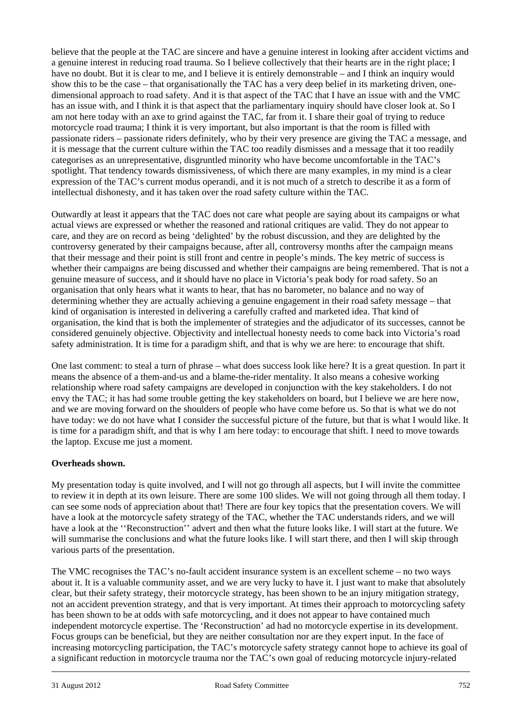believe that the people at the TAC are sincere and have a genuine interest in looking after accident victims and a genuine interest in reducing road trauma. So I believe collectively that their hearts are in the right place; I have no doubt. But it is clear to me, and I believe it is entirely demonstrable – and I think an inquiry would show this to be the case – that organisationally the TAC has a very deep belief in its marketing driven, onedimensional approach to road safety. And it is that aspect of the TAC that I have an issue with and the VMC has an issue with, and I think it is that aspect that the parliamentary inquiry should have closer look at. So I am not here today with an axe to grind against the TAC, far from it. I share their goal of trying to reduce motorcycle road trauma; I think it is very important, but also important is that the room is filled with passionate riders – passionate riders definitely, who by their very presence are giving the TAC a message, and it is message that the current culture within the TAC too readily dismisses and a message that it too readily categorises as an unrepresentative, disgruntled minority who have become uncomfortable in the TAC's spotlight. That tendency towards dismissiveness, of which there are many examples, in my mind is a clear expression of the TAC's current modus operandi, and it is not much of a stretch to describe it as a form of intellectual dishonesty, and it has taken over the road safety culture within the TAC.

Outwardly at least it appears that the TAC does not care what people are saying about its campaigns or what actual views are expressed or whether the reasoned and rational critiques are valid. They do not appear to care, and they are on record as being 'delighted' by the robust discussion, and they are delighted by the controversy generated by their campaigns because, after all, controversy months after the campaign means that their message and their point is still front and centre in people's minds. The key metric of success is whether their campaigns are being discussed and whether their campaigns are being remembered. That is not a genuine measure of success, and it should have no place in Victoria's peak body for road safety. So an organisation that only hears what it wants to hear, that has no barometer, no balance and no way of determining whether they are actually achieving a genuine engagement in their road safety message – that kind of organisation is interested in delivering a carefully crafted and marketed idea. That kind of organisation, the kind that is both the implementer of strategies and the adjudicator of its successes, cannot be considered genuinely objective. Objectivity and intellectual honesty needs to come back into Victoria's road safety administration. It is time for a paradigm shift, and that is why we are here: to encourage that shift.

One last comment: to steal a turn of phrase – what does success look like here? It is a great question. In part it means the absence of a them-and-us and a blame-the-rider mentality. It also means a cohesive working relationship where road safety campaigns are developed in conjunction with the key stakeholders. I do not envy the TAC; it has had some trouble getting the key stakeholders on board, but I believe we are here now, and we are moving forward on the shoulders of people who have come before us. So that is what we do not have today: we do not have what I consider the successful picture of the future, but that is what I would like. It is time for a paradigm shift, and that is why I am here today: to encourage that shift. I need to move towards the laptop. Excuse me just a moment.

# **Overheads shown.**

My presentation today is quite involved, and I will not go through all aspects, but I will invite the committee to review it in depth at its own leisure. There are some 100 slides. We will not going through all them today. I can see some nods of appreciation about that! There are four key topics that the presentation covers. We will have a look at the motorcycle safety strategy of the TAC, whether the TAC understands riders, and we will have a look at the ''Reconstruction'' advert and then what the future looks like. I will start at the future. We will summarise the conclusions and what the future looks like. I will start there, and then I will skip through various parts of the presentation.

l The VMC recognises the TAC's no-fault accident insurance system is an excellent scheme – no two ways about it. It is a valuable community asset, and we are very lucky to have it. I just want to make that absolutely clear, but their safety strategy, their motorcycle strategy, has been shown to be an injury mitigation strategy, not an accident prevention strategy, and that is very important. At times their approach to motorcycling safety has been shown to be at odds with safe motorcycling, and it does not appear to have contained much independent motorcycle expertise. The 'Reconstruction' ad had no motorcycle expertise in its development. Focus groups can be beneficial, but they are neither consultation nor are they expert input. In the face of increasing motorcycling participation, the TAC's motorcycle safety strategy cannot hope to achieve its goal of a significant reduction in motorcycle trauma nor the TAC's own goal of reducing motorcycle injury-related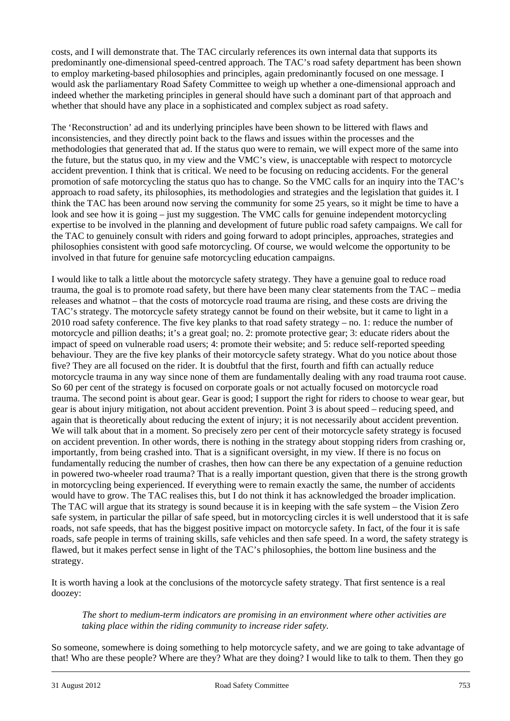costs, and I will demonstrate that. The TAC circularly references its own internal data that supports its predominantly one-dimensional speed-centred approach. The TAC's road safety department has been shown to employ marketing-based philosophies and principles, again predominantly focused on one message. I would ask the parliamentary Road Safety Committee to weigh up whether a one-dimensional approach and indeed whether the marketing principles in general should have such a dominant part of that approach and whether that should have any place in a sophisticated and complex subject as road safety.

The 'Reconstruction' ad and its underlying principles have been shown to be littered with flaws and inconsistencies, and they directly point back to the flaws and issues within the processes and the methodologies that generated that ad. If the status quo were to remain, we will expect more of the same into the future, but the status quo, in my view and the VMC's view, is unacceptable with respect to motorcycle accident prevention. I think that is critical. We need to be focusing on reducing accidents. For the general promotion of safe motorcycling the status quo has to change. So the VMC calls for an inquiry into the TAC's approach to road safety, its philosophies, its methodologies and strategies and the legislation that guides it. I think the TAC has been around now serving the community for some 25 years, so it might be time to have a look and see how it is going – just my suggestion. The VMC calls for genuine independent motorcycling expertise to be involved in the planning and development of future public road safety campaigns. We call for the TAC to genuinely consult with riders and going forward to adopt principles, approaches, strategies and philosophies consistent with good safe motorcycling. Of course, we would welcome the opportunity to be involved in that future for genuine safe motorcycling education campaigns.

I would like to talk a little about the motorcycle safety strategy. They have a genuine goal to reduce road trauma, the goal is to promote road safety, but there have been many clear statements from the TAC – media releases and whatnot – that the costs of motorcycle road trauma are rising, and these costs are driving the TAC's strategy. The motorcycle safety strategy cannot be found on their website, but it came to light in a 2010 road safety conference. The five key planks to that road safety strategy – no. 1: reduce the number of motorcycle and pillion deaths; it's a great goal; no. 2: promote protective gear; 3: educate riders about the impact of speed on vulnerable road users; 4: promote their website; and 5: reduce self-reported speeding behaviour. They are the five key planks of their motorcycle safety strategy. What do you notice about those five? They are all focused on the rider. It is doubtful that the first, fourth and fifth can actually reduce motorcycle trauma in any way since none of them are fundamentally dealing with any road trauma root cause. So 60 per cent of the strategy is focused on corporate goals or not actually focused on motorcycle road trauma. The second point is about gear. Gear is good; I support the right for riders to choose to wear gear, but gear is about injury mitigation, not about accident prevention. Point 3 is about speed – reducing speed, and again that is theoretically about reducing the extent of injury; it is not necessarily about accident prevention. We will talk about that in a moment. So precisely zero per cent of their motorcycle safety strategy is focused on accident prevention. In other words, there is nothing in the strategy about stopping riders from crashing or, importantly, from being crashed into. That is a significant oversight, in my view. If there is no focus on fundamentally reducing the number of crashes, then how can there be any expectation of a genuine reduction in powered two-wheeler road trauma? That is a really important question, given that there is the strong growth in motorcycling being experienced. If everything were to remain exactly the same, the number of accidents would have to grow. The TAC realises this, but I do not think it has acknowledged the broader implication. The TAC will argue that its strategy is sound because it is in keeping with the safe system – the Vision Zero safe system, in particular the pillar of safe speed, but in motorcycling circles it is well understood that it is safe roads, not safe speeds, that has the biggest positive impact on motorcycle safety. In fact, of the four it is safe roads, safe people in terms of training skills, safe vehicles and then safe speed. In a word, the safety strategy is flawed, but it makes perfect sense in light of the TAC's philosophies, the bottom line business and the strategy.

It is worth having a look at the conclusions of the motorcycle safety strategy. That first sentence is a real doozey:

*The short to medium-term indicators are promising in an environment where other activities are taking place within the riding community to increase rider safety.* 

l So someone, somewhere is doing something to help motorcycle safety, and we are going to take advantage of that! Who are these people? Where are they? What are they doing? I would like to talk to them. Then they go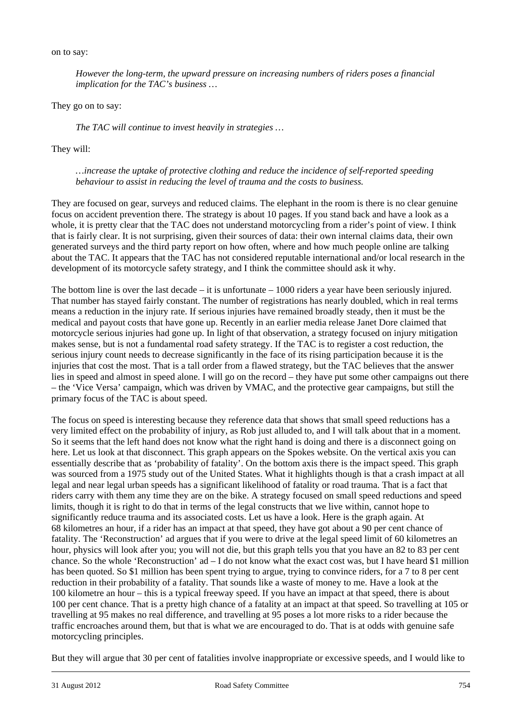on to say:

*However the long-term, the upward pressure on increasing numbers of riders poses a financial implication for the TAC's business …* 

They go on to say:

*The TAC will continue to invest heavily in strategies …* 

They will:

*…increase the uptake of protective clothing and reduce the incidence of self-reported speeding behaviour to assist in reducing the level of trauma and the costs to business.* 

They are focused on gear, surveys and reduced claims. The elephant in the room is there is no clear genuine focus on accident prevention there. The strategy is about 10 pages. If you stand back and have a look as a whole, it is pretty clear that the TAC does not understand motorcycling from a rider's point of view. I think that is fairly clear. It is not surprising, given their sources of data: their own internal claims data, their own generated surveys and the third party report on how often, where and how much people online are talking about the TAC. It appears that the TAC has not considered reputable international and/or local research in the development of its motorcycle safety strategy, and I think the committee should ask it why.

The bottom line is over the last decade – it is unfortunate – 1000 riders a year have been seriously injured. That number has stayed fairly constant. The number of registrations has nearly doubled, which in real terms means a reduction in the injury rate. If serious injuries have remained broadly steady, then it must be the medical and payout costs that have gone up. Recently in an earlier media release Janet Dore claimed that motorcycle serious injuries had gone up. In light of that observation, a strategy focused on injury mitigation makes sense, but is not a fundamental road safety strategy. If the TAC is to register a cost reduction, the serious injury count needs to decrease significantly in the face of its rising participation because it is the injuries that cost the most. That is a tall order from a flawed strategy, but the TAC believes that the answer lies in speed and almost in speed alone. I will go on the record – they have put some other campaigns out there – the 'Vice Versa' campaign, which was driven by VMAC, and the protective gear campaigns, but still the primary focus of the TAC is about speed.

The focus on speed is interesting because they reference data that shows that small speed reductions has a very limited effect on the probability of injury, as Rob just alluded to, and I will talk about that in a moment. So it seems that the left hand does not know what the right hand is doing and there is a disconnect going on here. Let us look at that disconnect. This graph appears on the Spokes website. On the vertical axis you can essentially describe that as 'probability of fatality'. On the bottom axis there is the impact speed. This graph was sourced from a 1975 study out of the United States. What it highlights though is that a crash impact at all legal and near legal urban speeds has a significant likelihood of fatality or road trauma. That is a fact that riders carry with them any time they are on the bike. A strategy focused on small speed reductions and speed limits, though it is right to do that in terms of the legal constructs that we live within, cannot hope to significantly reduce trauma and its associated costs. Let us have a look. Here is the graph again. At 68 kilometres an hour, if a rider has an impact at that speed, they have got about a 90 per cent chance of fatality. The 'Reconstruction' ad argues that if you were to drive at the legal speed limit of 60 kilometres an hour, physics will look after you; you will not die, but this graph tells you that you have an 82 to 83 per cent chance. So the whole 'Reconstruction' ad – I do not know what the exact cost was, but I have heard \$1 million has been quoted. So \$1 million has been spent trying to argue, trying to convince riders, for a 7 to 8 per cent reduction in their probability of a fatality. That sounds like a waste of money to me. Have a look at the 100 kilometre an hour – this is a typical freeway speed. If you have an impact at that speed, there is about 100 per cent chance. That is a pretty high chance of a fatality at an impact at that speed. So travelling at 105 or travelling at 95 makes no real difference, and travelling at 95 poses a lot more risks to a rider because the traffic encroaches around them, but that is what we are encouraged to do. That is at odds with genuine safe motorcycling principles.

l But they will argue that 30 per cent of fatalities involve inappropriate or excessive speeds, and I would like to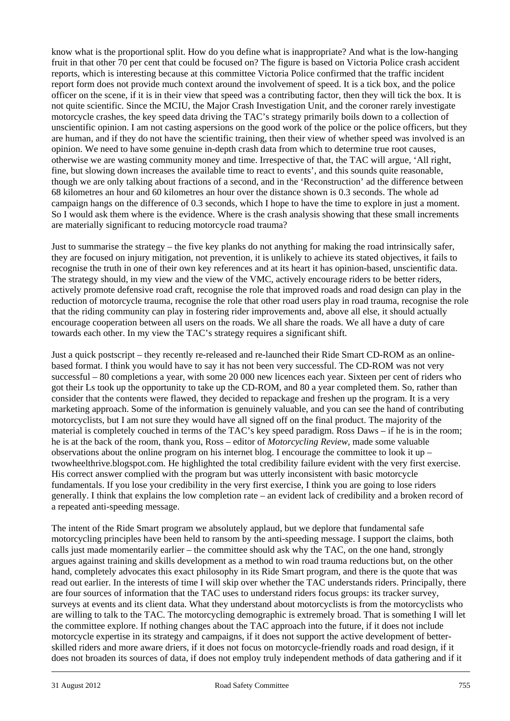know what is the proportional split. How do you define what is inappropriate? And what is the low-hanging fruit in that other 70 per cent that could be focused on? The figure is based on Victoria Police crash accident reports, which is interesting because at this committee Victoria Police confirmed that the traffic incident report form does not provide much context around the involvement of speed. It is a tick box, and the police officer on the scene, if it is in their view that speed was a contributing factor, then they will tick the box. It is not quite scientific. Since the MCIU, the Major Crash Investigation Unit, and the coroner rarely investigate motorcycle crashes, the key speed data driving the TAC's strategy primarily boils down to a collection of unscientific opinion. I am not casting aspersions on the good work of the police or the police officers, but they are human, and if they do not have the scientific training, then their view of whether speed was involved is an opinion. We need to have some genuine in-depth crash data from which to determine true root causes, otherwise we are wasting community money and time. Irrespective of that, the TAC will argue, 'All right, fine, but slowing down increases the available time to react to events', and this sounds quite reasonable, though we are only talking about fractions of a second, and in the 'Reconstruction' ad the difference between 68 kilometres an hour and 60 kilometres an hour over the distance shown is 0.3 seconds. The whole ad campaign hangs on the difference of 0.3 seconds, which I hope to have the time to explore in just a moment. So I would ask them where is the evidence. Where is the crash analysis showing that these small increments are materially significant to reducing motorcycle road trauma?

Just to summarise the strategy – the five key planks do not anything for making the road intrinsically safer, they are focused on injury mitigation, not prevention, it is unlikely to achieve its stated objectives, it fails to recognise the truth in one of their own key references and at its heart it has opinion-based, unscientific data. The strategy should, in my view and the view of the VMC, actively encourage riders to be better riders, actively promote defensive road craft, recognise the role that improved roads and road design can play in the reduction of motorcycle trauma, recognise the role that other road users play in road trauma, recognise the role that the riding community can play in fostering rider improvements and, above all else, it should actually encourage cooperation between all users on the roads. We all share the roads. We all have a duty of care towards each other. In my view the TAC's strategy requires a significant shift.

Just a quick postscript – they recently re-released and re-launched their Ride Smart CD-ROM as an onlinebased format. I think you would have to say it has not been very successful. The CD-ROM was not very successful – 80 completions a year, with some 20 000 new licences each year. Sixteen per cent of riders who got their Ls took up the opportunity to take up the CD-ROM, and 80 a year completed them. So, rather than consider that the contents were flawed, they decided to repackage and freshen up the program. It is a very marketing approach. Some of the information is genuinely valuable, and you can see the hand of contributing motorcyclists, but I am not sure they would have all signed off on the final product. The majority of the material is completely couched in terms of the TAC's key speed paradigm. Ross Daws – if he is in the room; he is at the back of the room, thank you, Ross – editor of *Motorcycling Review*, made some valuable observations about the online program on his internet blog. I encourage the committee to look it up – twowheelthrive.blogspot.com. He highlighted the total credibility failure evident with the very first exercise. His correct answer complied with the program but was utterly inconsistent with basic motorcycle fundamentals. If you lose your credibility in the very first exercise, I think you are going to lose riders generally. I think that explains the low completion rate – an evident lack of credibility and a broken record of a repeated anti-speeding message.

l The intent of the Ride Smart program we absolutely applaud, but we deplore that fundamental safe motorcycling principles have been held to ransom by the anti-speeding message. I support the claims, both calls just made momentarily earlier – the committee should ask why the TAC, on the one hand, strongly argues against training and skills development as a method to win road trauma reductions but, on the other hand, completely advocates this exact philosophy in its Ride Smart program, and there is the quote that was read out earlier. In the interests of time I will skip over whether the TAC understands riders. Principally, there are four sources of information that the TAC uses to understand riders focus groups: its tracker survey, surveys at events and its client data. What they understand about motorcyclists is from the motorcyclists who are willing to talk to the TAC. The motorcycling demographic is extremely broad. That is something I will let the committee explore. If nothing changes about the TAC approach into the future, if it does not include motorcycle expertise in its strategy and campaigns, if it does not support the active development of betterskilled riders and more aware driers, if it does not focus on motorcycle-friendly roads and road design, if it does not broaden its sources of data, if does not employ truly independent methods of data gathering and if it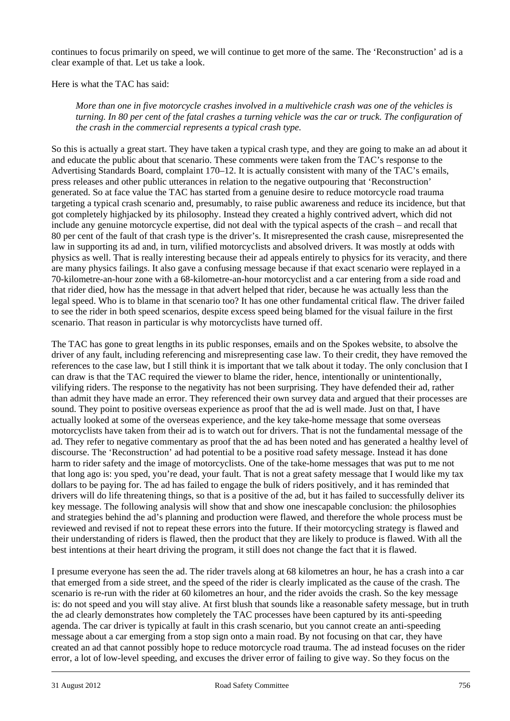continues to focus primarily on speed, we will continue to get more of the same. The 'Reconstruction' ad is a clear example of that. Let us take a look.

Here is what the TAC has said:

*More than one in five motorcycle crashes involved in a multivehicle crash was one of the vehicles is turning. In 80 per cent of the fatal crashes a turning vehicle was the car or truck. The configuration of the crash in the commercial represents a typical crash type.* 

So this is actually a great start. They have taken a typical crash type, and they are going to make an ad about it and educate the public about that scenario. These comments were taken from the TAC's response to the Advertising Standards Board, complaint 170–12. It is actually consistent with many of the TAC's emails, press releases and other public utterances in relation to the negative outpouring that 'Reconstruction' generated. So at face value the TAC has started from a genuine desire to reduce motorcycle road trauma targeting a typical crash scenario and, presumably, to raise public awareness and reduce its incidence, but that got completely highjacked by its philosophy. Instead they created a highly contrived advert, which did not include any genuine motorcycle expertise, did not deal with the typical aspects of the crash – and recall that 80 per cent of the fault of that crash type is the driver's. It misrepresented the crash cause, misrepresented the law in supporting its ad and, in turn, vilified motorcyclists and absolved drivers. It was mostly at odds with physics as well. That is really interesting because their ad appeals entirely to physics for its veracity, and there are many physics failings. It also gave a confusing message because if that exact scenario were replayed in a 70-kilometre-an-hour zone with a 68-kilometre-an-hour motorcyclist and a car entering from a side road and that rider died, how has the message in that advert helped that rider, because he was actually less than the legal speed. Who is to blame in that scenario too? It has one other fundamental critical flaw. The driver failed to see the rider in both speed scenarios, despite excess speed being blamed for the visual failure in the first scenario. That reason in particular is why motorcyclists have turned off.

The TAC has gone to great lengths in its public responses, emails and on the Spokes website, to absolve the driver of any fault, including referencing and misrepresenting case law. To their credit, they have removed the references to the case law, but I still think it is important that we talk about it today. The only conclusion that I can draw is that the TAC required the viewer to blame the rider, hence, intentionally or unintentionally, vilifying riders. The response to the negativity has not been surprising. They have defended their ad, rather than admit they have made an error. They referenced their own survey data and argued that their processes are sound. They point to positive overseas experience as proof that the ad is well made. Just on that, I have actually looked at some of the overseas experience, and the key take-home message that some overseas motorcyclists have taken from their ad is to watch out for drivers. That is not the fundamental message of the ad. They refer to negative commentary as proof that the ad has been noted and has generated a healthy level of discourse. The 'Reconstruction' ad had potential to be a positive road safety message. Instead it has done harm to rider safety and the image of motorcyclists. One of the take-home messages that was put to me not that long ago is: you sped, you're dead, your fault. That is not a great safety message that I would like my tax dollars to be paying for. The ad has failed to engage the bulk of riders positively, and it has reminded that drivers will do life threatening things, so that is a positive of the ad, but it has failed to successfully deliver its key message. The following analysis will show that and show one inescapable conclusion: the philosophies and strategies behind the ad's planning and production were flawed, and therefore the whole process must be reviewed and revised if not to repeat these errors into the future. If their motorcycling strategy is flawed and their understanding of riders is flawed, then the product that they are likely to produce is flawed. With all the best intentions at their heart driving the program, it still does not change the fact that it is flawed.

l I presume everyone has seen the ad. The rider travels along at 68 kilometres an hour, he has a crash into a car that emerged from a side street, and the speed of the rider is clearly implicated as the cause of the crash. The scenario is re-run with the rider at 60 kilometres an hour, and the rider avoids the crash. So the key message is: do not speed and you will stay alive. At first blush that sounds like a reasonable safety message, but in truth the ad clearly demonstrates how completely the TAC processes have been captured by its anti-speeding agenda. The car driver is typically at fault in this crash scenario, but you cannot create an anti-speeding message about a car emerging from a stop sign onto a main road. By not focusing on that car, they have created an ad that cannot possibly hope to reduce motorcycle road trauma. The ad instead focuses on the rider error, a lot of low-level speeding, and excuses the driver error of failing to give way. So they focus on the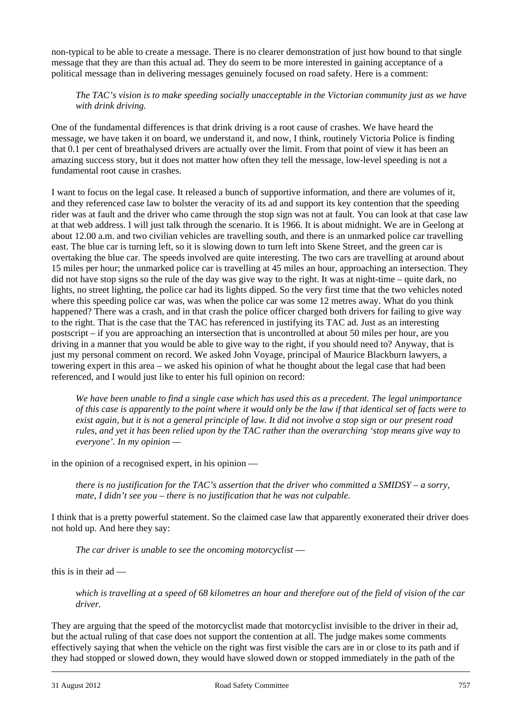non-typical to be able to create a message. There is no clearer demonstration of just how bound to that single message that they are than this actual ad. They do seem to be more interested in gaining acceptance of a political message than in delivering messages genuinely focused on road safety. Here is a comment:

## *The TAC's vision is to make speeding socially unacceptable in the Victorian community just as we have with drink driving.*

One of the fundamental differences is that drink driving is a root cause of crashes. We have heard the message, we have taken it on board, we understand it, and now, I think, routinely Victoria Police is finding that 0.1 per cent of breathalysed drivers are actually over the limit. From that point of view it has been an amazing success story, but it does not matter how often they tell the message, low-level speeding is not a fundamental root cause in crashes.

I want to focus on the legal case. It released a bunch of supportive information, and there are volumes of it, and they referenced case law to bolster the veracity of its ad and support its key contention that the speeding rider was at fault and the driver who came through the stop sign was not at fault. You can look at that case law at that web address. I will just talk through the scenario. It is 1966. It is about midnight. We are in Geelong at about 12.00 a.m. and two civilian vehicles are travelling south, and there is an unmarked police car travelling east. The blue car is turning left, so it is slowing down to turn left into Skene Street, and the green car is overtaking the blue car. The speeds involved are quite interesting. The two cars are travelling at around about 15 miles per hour; the unmarked police car is travelling at 45 miles an hour, approaching an intersection. They did not have stop signs so the rule of the day was give way to the right. It was at night-time – quite dark, no lights, no street lighting, the police car had its lights dipped. So the very first time that the two vehicles noted where this speeding police car was, was when the police car was some 12 metres away. What do you think happened? There was a crash, and in that crash the police officer charged both drivers for failing to give way to the right. That is the case that the TAC has referenced in justifying its TAC ad. Just as an interesting postscript – if you are approaching an intersection that is uncontrolled at about 50 miles per hour, are you driving in a manner that you would be able to give way to the right, if you should need to? Anyway, that is just my personal comment on record. We asked John Voyage, principal of Maurice Blackburn lawyers, a towering expert in this area – we asked his opinion of what he thought about the legal case that had been referenced, and I would just like to enter his full opinion on record:

*We have been unable to find a single case which has used this as a precedent. The legal unimportance of this case is apparently to the point where it would only be the law if that identical set of facts were to exist again, but it is not a general principle of law. It did not involve a stop sign or our present road rules, and yet it has been relied upon by the TAC rather than the overarching 'stop means give way to everyone'. In my opinion —* 

in the opinion of a recognised expert, in his opinion —

*there is no justification for the TAC's assertion that the driver who committed a SMIDSY – a sorry, mate, I didn't see you – there is no justification that he was not culpable.*

I think that is a pretty powerful statement. So the claimed case law that apparently exonerated their driver does not hold up. And here they say:

*The car driver is unable to see the oncoming motorcyclist* —

this is in their ad —

*which is travelling at a speed of 68 kilometres an hour and therefore out of the field of vision of the car driver.* 

l They are arguing that the speed of the motorcyclist made that motorcyclist invisible to the driver in their ad, but the actual ruling of that case does not support the contention at all. The judge makes some comments effectively saying that when the vehicle on the right was first visible the cars are in or close to its path and if they had stopped or slowed down, they would have slowed down or stopped immediately in the path of the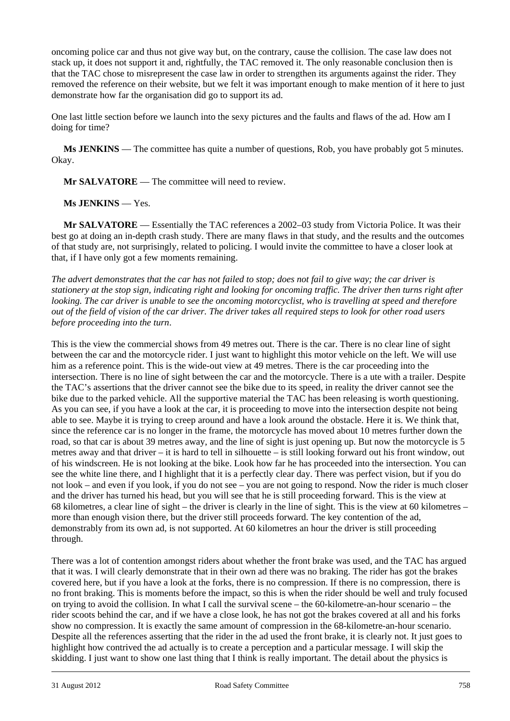oncoming police car and thus not give way but, on the contrary, cause the collision. The case law does not stack up, it does not support it and, rightfully, the TAC removed it. The only reasonable conclusion then is that the TAC chose to misrepresent the case law in order to strengthen its arguments against the rider. They removed the reference on their website, but we felt it was important enough to make mention of it here to just demonstrate how far the organisation did go to support its ad.

One last little section before we launch into the sexy pictures and the faults and flaws of the ad. How am I doing for time?

**Ms JENKINS** — The committee has quite a number of questions, Rob, you have probably got 5 minutes. Okay.

**Mr SALVATORE** — The committee will need to review.

**Ms JENKINS** — Yes.

**Mr SALVATORE** — Essentially the TAC references a 2002–03 study from Victoria Police. It was their best go at doing an in-depth crash study. There are many flaws in that study, and the results and the outcomes of that study are, not surprisingly, related to policing. I would invite the committee to have a closer look at that, if I have only got a few moments remaining.

*The advert demonstrates that the car has not failed to stop; does not fail to give way; the car driver is stationery at the stop sign, indicating right and looking for oncoming traffic. The driver then turns right after looking. The car driver is unable to see the oncoming motorcyclist, who is travelling at speed and therefore out of the field of vision of the car driver. The driver takes all required steps to look for other road users before proceeding into the turn*.

This is the view the commercial shows from 49 metres out. There is the car. There is no clear line of sight between the car and the motorcycle rider. I just want to highlight this motor vehicle on the left. We will use him as a reference point. This is the wide-out view at 49 metres. There is the car proceeding into the intersection. There is no line of sight between the car and the motorcycle. There is a ute with a trailer. Despite the TAC's assertions that the driver cannot see the bike due to its speed, in reality the driver cannot see the bike due to the parked vehicle. All the supportive material the TAC has been releasing is worth questioning. As you can see, if you have a look at the car, it is proceeding to move into the intersection despite not being able to see. Maybe it is trying to creep around and have a look around the obstacle. Here it is. We think that, since the reference car is no longer in the frame, the motorcycle has moved about 10 metres further down the road, so that car is about 39 metres away, and the line of sight is just opening up. But now the motorcycle is 5 metres away and that driver – it is hard to tell in silhouette – is still looking forward out his front window, out of his windscreen. He is not looking at the bike. Look how far he has proceeded into the intersection. You can see the white line there, and I highlight that it is a perfectly clear day. There was perfect vision, but if you do not look – and even if you look, if you do not see – you are not going to respond. Now the rider is much closer and the driver has turned his head, but you will see that he is still proceeding forward. This is the view at 68 kilometres, a clear line of sight – the driver is clearly in the line of sight. This is the view at 60 kilometres – more than enough vision there, but the driver still proceeds forward. The key contention of the ad, demonstrably from its own ad, is not supported. At 60 kilometres an hour the driver is still proceeding through.

l There was a lot of contention amongst riders about whether the front brake was used, and the TAC has argued that it was. I will clearly demonstrate that in their own ad there was no braking. The rider has got the brakes covered here, but if you have a look at the forks, there is no compression. If there is no compression, there is no front braking. This is moments before the impact, so this is when the rider should be well and truly focused on trying to avoid the collision. In what I call the survival scene – the 60-kilometre-an-hour scenario – the rider scoots behind the car, and if we have a close look, he has not got the brakes covered at all and his forks show no compression. It is exactly the same amount of compression in the 68-kilometre-an-hour scenario. Despite all the references asserting that the rider in the ad used the front brake, it is clearly not. It just goes to highlight how contrived the ad actually is to create a perception and a particular message. I will skip the skidding. I just want to show one last thing that I think is really important. The detail about the physics is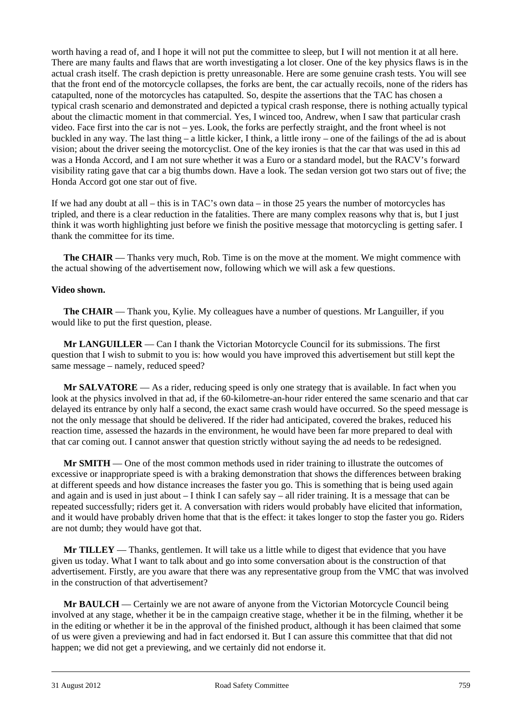worth having a read of, and I hope it will not put the committee to sleep, but I will not mention it at all here. There are many faults and flaws that are worth investigating a lot closer. One of the key physics flaws is in the actual crash itself. The crash depiction is pretty unreasonable. Here are some genuine crash tests. You will see that the front end of the motorcycle collapses, the forks are bent, the car actually recoils, none of the riders has catapulted, none of the motorcycles has catapulted. So, despite the assertions that the TAC has chosen a typical crash scenario and demonstrated and depicted a typical crash response, there is nothing actually typical about the climactic moment in that commercial. Yes, I winced too, Andrew, when I saw that particular crash video. Face first into the car is not – yes. Look, the forks are perfectly straight, and the front wheel is not buckled in any way. The last thing – a little kicker, I think, a little irony – one of the failings of the ad is about vision; about the driver seeing the motorcyclist. One of the key ironies is that the car that was used in this ad was a Honda Accord, and I am not sure whether it was a Euro or a standard model, but the RACV's forward visibility rating gave that car a big thumbs down. Have a look. The sedan version got two stars out of five; the Honda Accord got one star out of five.

If we had any doubt at all – this is in TAC's own data – in those 25 years the number of motorcycles has tripled, and there is a clear reduction in the fatalities. There are many complex reasons why that is, but I just think it was worth highlighting just before we finish the positive message that motorcycling is getting safer. I thank the committee for its time.

**The CHAIR** — Thanks very much, Rob. Time is on the move at the moment. We might commence with the actual showing of the advertisement now, following which we will ask a few questions.

## **Video shown.**

 **The CHAIR** — Thank you, Kylie. My colleagues have a number of questions. Mr Languiller, if you would like to put the first question, please.

**Mr LANGUILLER** — Can I thank the Victorian Motorcycle Council for its submissions. The first question that I wish to submit to you is: how would you have improved this advertisement but still kept the same message – namely, reduced speed?

**Mr SALVATORE** — As a rider, reducing speed is only one strategy that is available. In fact when you look at the physics involved in that ad, if the 60-kilometre-an-hour rider entered the same scenario and that car delayed its entrance by only half a second, the exact same crash would have occurred. So the speed message is not the only message that should be delivered. If the rider had anticipated, covered the brakes, reduced his reaction time, assessed the hazards in the environment, he would have been far more prepared to deal with that car coming out. I cannot answer that question strictly without saying the ad needs to be redesigned.

**Mr SMITH** — One of the most common methods used in rider training to illustrate the outcomes of excessive or inappropriate speed is with a braking demonstration that shows the differences between braking at different speeds and how distance increases the faster you go. This is something that is being used again and again and is used in just about – I think I can safely say – all rider training. It is a message that can be repeated successfully; riders get it. A conversation with riders would probably have elicited that information, and it would have probably driven home that that is the effect: it takes longer to stop the faster you go. Riders are not dumb; they would have got that.

**Mr TILLEY** — Thanks, gentlemen. It will take us a little while to digest that evidence that you have given us today. What I want to talk about and go into some conversation about is the construction of that advertisement. Firstly, are you aware that there was any representative group from the VMC that was involved in the construction of that advertisement?

**Mr BAULCH** — Certainly we are not aware of anyone from the Victorian Motorcycle Council being involved at any stage, whether it be in the campaign creative stage, whether it be in the filming, whether it be in the editing or whether it be in the approval of the finished product, although it has been claimed that some of us were given a previewing and had in fact endorsed it. But I can assure this committee that that did not happen; we did not get a previewing, and we certainly did not endorse it.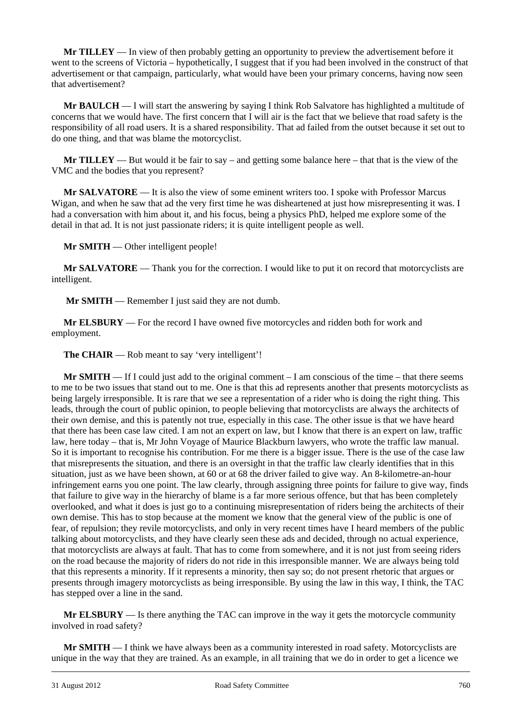**Mr TILLEY** — In view of then probably getting an opportunity to preview the advertisement before it went to the screens of Victoria – hypothetically, I suggest that if you had been involved in the construct of that advertisement or that campaign, particularly, what would have been your primary concerns, having now seen that advertisement?

**Mr BAULCH** — I will start the answering by saying I think Rob Salvatore has highlighted a multitude of concerns that we would have. The first concern that I will air is the fact that we believe that road safety is the responsibility of all road users. It is a shared responsibility. That ad failed from the outset because it set out to do one thing, and that was blame the motorcyclist.

**Mr TILLEY** — But would it be fair to say – and getting some balance here – that that is the view of the VMC and the bodies that you represent?

**Mr SALVATORE** — It is also the view of some eminent writers too. I spoke with Professor Marcus Wigan, and when he saw that ad the very first time he was disheartened at just how misrepresenting it was. I had a conversation with him about it, and his focus, being a physics PhD, helped me explore some of the detail in that ad. It is not just passionate riders; it is quite intelligent people as well.

**Mr SMITH** — Other intelligent people!

**Mr SALVATORE** — Thank you for the correction. I would like to put it on record that motorcyclists are intelligent.

**Mr SMITH** — Remember I just said they are not dumb.

**Mr ELSBURY** — For the record I have owned five motorcycles and ridden both for work and employment.

**The CHAIR** — Rob meant to say 'very intelligent'!

**Mr SMITH** — If I could just add to the original comment – I am conscious of the time – that there seems to me to be two issues that stand out to me. One is that this ad represents another that presents motorcyclists as being largely irresponsible. It is rare that we see a representation of a rider who is doing the right thing. This leads, through the court of public opinion, to people believing that motorcyclists are always the architects of their own demise, and this is patently not true, especially in this case. The other issue is that we have heard that there has been case law cited. I am not an expert on law, but I know that there is an expert on law, traffic law, here today – that is, Mr John Voyage of Maurice Blackburn lawyers, who wrote the traffic law manual. So it is important to recognise his contribution. For me there is a bigger issue. There is the use of the case law that misrepresents the situation, and there is an oversight in that the traffic law clearly identifies that in this situation, just as we have been shown, at 60 or at 68 the driver failed to give way. An 8-kilometre-an-hour infringement earns you one point. The law clearly, through assigning three points for failure to give way, finds that failure to give way in the hierarchy of blame is a far more serious offence, but that has been completely overlooked, and what it does is just go to a continuing misrepresentation of riders being the architects of their own demise. This has to stop because at the moment we know that the general view of the public is one of fear, of repulsion; they revile motorcyclists, and only in very recent times have I heard members of the public talking about motorcyclists, and they have clearly seen these ads and decided, through no actual experience, that motorcyclists are always at fault. That has to come from somewhere, and it is not just from seeing riders on the road because the majority of riders do not ride in this irresponsible manner. We are always being told that this represents a minority. If it represents a minority, then say so; do not present rhetoric that argues or presents through imagery motorcyclists as being irresponsible. By using the law in this way, I think, the TAC has stepped over a line in the sand.

**Mr ELSBURY** — Is there anything the TAC can improve in the way it gets the motorcycle community involved in road safety?

l **Mr SMITH** — I think we have always been as a community interested in road safety. Motorcyclists are unique in the way that they are trained. As an example, in all training that we do in order to get a licence we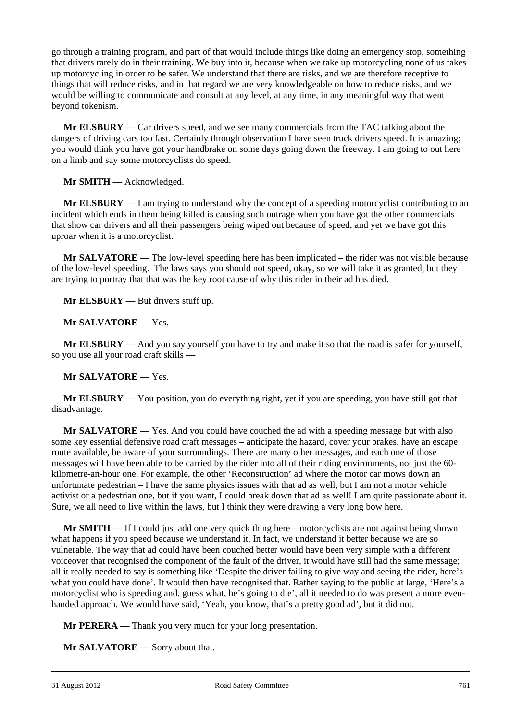go through a training program, and part of that would include things like doing an emergency stop, something that drivers rarely do in their training. We buy into it, because when we take up motorcycling none of us takes up motorcycling in order to be safer. We understand that there are risks, and we are therefore receptive to things that will reduce risks, and in that regard we are very knowledgeable on how to reduce risks, and we would be willing to communicate and consult at any level, at any time, in any meaningful way that went beyond tokenism.

**Mr ELSBURY** — Car drivers speed, and we see many commercials from the TAC talking about the dangers of driving cars too fast. Certainly through observation I have seen truck drivers speed. It is amazing; you would think you have got your handbrake on some days going down the freeway. I am going to out here on a limb and say some motorcyclists do speed.

**Mr SMITH** — Acknowledged.

**Mr ELSBURY**  $- I$  am trying to understand why the concept of a speeding motorcyclist contributing to an incident which ends in them being killed is causing such outrage when you have got the other commercials that show car drivers and all their passengers being wiped out because of speed, and yet we have got this uproar when it is a motorcyclist.

**Mr SALVATORE** — The low-level speeding here has been implicated – the rider was not visible because of the low-level speeding. The laws says you should not speed, okay, so we will take it as granted, but they are trying to portray that that was the key root cause of why this rider in their ad has died.

**Mr ELSBURY** — But drivers stuff up.

**Mr SALVATORE** — Yes.

**Mr ELSBURY** — And you say yourself you have to try and make it so that the road is safer for yourself, so you use all your road craft skills —

**Mr SALVATORE** — Yes.

**Mr ELSBURY** — You position, you do everything right, yet if you are speeding, you have still got that disadvantage.

**Mr SALVATORE** — Yes. And you could have couched the ad with a speeding message but with also some key essential defensive road craft messages – anticipate the hazard, cover your brakes, have an escape route available, be aware of your surroundings. There are many other messages, and each one of those messages will have been able to be carried by the rider into all of their riding environments, not just the 60 kilometre-an-hour one. For example, the other 'Reconstruction' ad where the motor car mows down an unfortunate pedestrian – I have the same physics issues with that ad as well, but I am not a motor vehicle activist or a pedestrian one, but if you want, I could break down that ad as well! I am quite passionate about it. Sure, we all need to live within the laws, but I think they were drawing a very long bow here.

**Mr SMITH** — If I could just add one very quick thing here – motorcyclists are not against being shown what happens if you speed because we understand it. In fact, we understand it better because we are so vulnerable. The way that ad could have been couched better would have been very simple with a different voiceover that recognised the component of the fault of the driver, it would have still had the same message; all it really needed to say is something like 'Despite the driver failing to give way and seeing the rider, here's what you could have done'. It would then have recognised that. Rather saying to the public at large, 'Here's a motorcyclist who is speeding and, guess what, he's going to die', all it needed to do was present a more evenhanded approach. We would have said, 'Yeah, you know, that's a pretty good ad', but it did not.

**Mr PERERA** — Thank you very much for your long presentation.

**Mr SALVATORE** — Sorry about that.